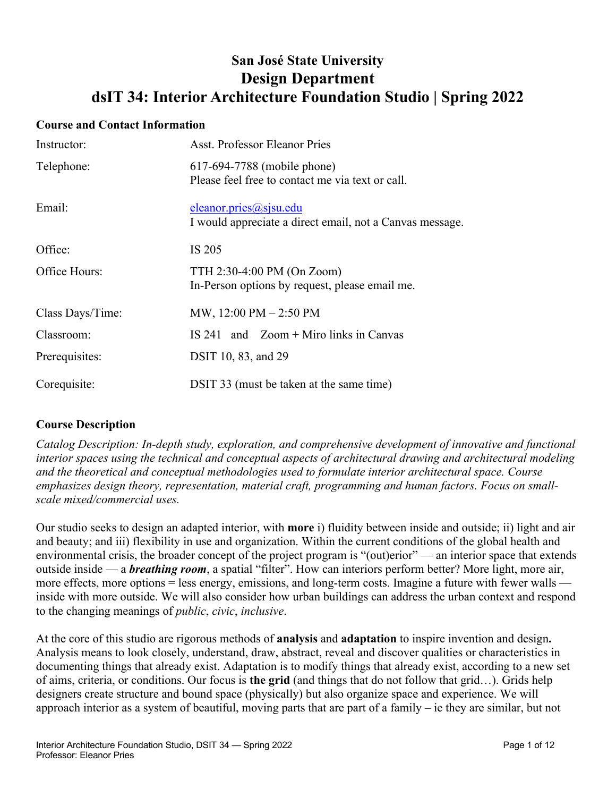# **San José State University Design Department dsIT 34: Interior Architecture Foundation Studio | Spring 2022**

#### **Course and Contact Information**

| Instructor:      | <b>Asst. Professor Eleanor Pries</b>                                               |
|------------------|------------------------------------------------------------------------------------|
| Telephone:       | 617-694-7788 (mobile phone)<br>Please feel free to contact me via text or call.    |
| Email:           | eleanor.pries@sjsu.edu<br>I would appreciate a direct email, not a Canvas message. |
| Office:          | IS 205                                                                             |
| Office Hours:    | TTH 2:30-4:00 PM (On Zoom)<br>In-Person options by request, please email me.       |
| Class Days/Time: | MW, $12:00 \text{ PM} - 2:50 \text{ PM}$                                           |
| Classroom:       | IS 241 and $Zoom + Miro$ links in Canvas                                           |
| Prerequisites:   | DSIT 10, 83, and 29                                                                |
| Corequisite:     | DSIT 33 (must be taken at the same time)                                           |

# **Course Description**

*Catalog Description: In-depth study, exploration, and comprehensive development of innovative and functional interior spaces using the technical and conceptual aspects of architectural drawing and architectural modeling and the theoretical and conceptual methodologies used to formulate interior architectural space. Course emphasizes design theory, representation, material craft, programming and human factors. Focus on smallscale mixed/commercial uses.*

Our studio seeks to design an adapted interior, with **more** i) fluidity between inside and outside; ii) light and air and beauty; and iii) flexibility in use and organization. Within the current conditions of the global health and environmental crisis, the broader concept of the project program is "(out)erior" — an interior space that extends outside inside — a *breathing room*, a spatial "filter". How can interiors perform better? More light, more air, more effects, more options = less energy, emissions, and long-term costs. Imagine a future with fewer walls inside with more outside. We will also consider how urban buildings can address the urban context and respond to the changing meanings of *public*, *civic*, *inclusive*.

At the core of this studio are rigorous methods of **analysis** and **adaptation** to inspire invention and design**.**  Analysis means to look closely, understand, draw, abstract, reveal and discover qualities or characteristics in documenting things that already exist. Adaptation is to modify things that already exist, according to a new set of aims, criteria, or conditions. Our focus is **the grid** (and things that do not follow that grid…). Grids help designers create structure and bound space (physically) but also organize space and experience. We will approach interior as a system of beautiful, moving parts that are part of a family – ie they are similar, but not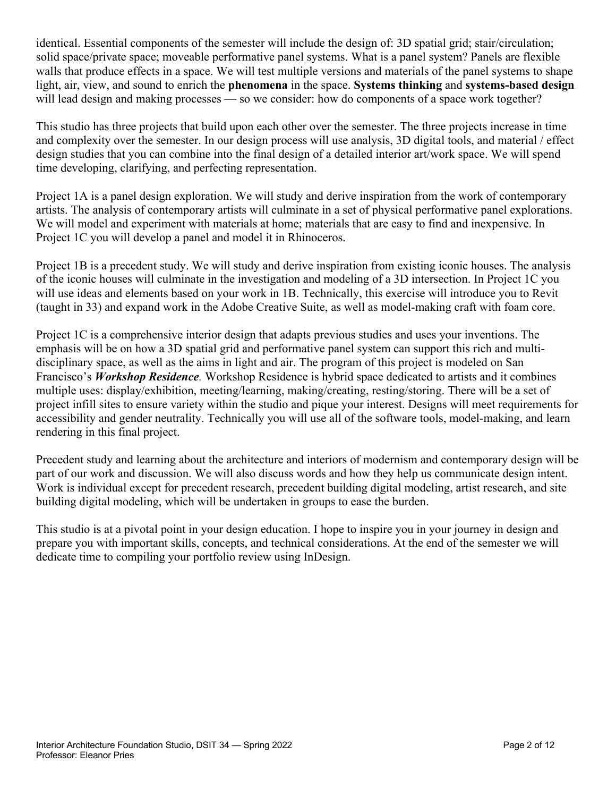identical. Essential components of the semester will include the design of: 3D spatial grid; stair/circulation; solid space/private space; moveable performative panel systems. What is a panel system? Panels are flexible walls that produce effects in a space. We will test multiple versions and materials of the panel systems to shape light, air, view, and sound to enrich the **phenomena** in the space. **Systems thinking** and **systems-based design** will lead design and making processes — so we consider: how do components of a space work together?

This studio has three projects that build upon each other over the semester. The three projects increase in time and complexity over the semester. In our design process will use analysis, 3D digital tools, and material / effect design studies that you can combine into the final design of a detailed interior art/work space. We will spend time developing, clarifying, and perfecting representation.

Project 1A is a panel design exploration. We will study and derive inspiration from the work of contemporary artists. The analysis of contemporary artists will culminate in a set of physical performative panel explorations. We will model and experiment with materials at home; materials that are easy to find and inexpensive. In Project 1C you will develop a panel and model it in Rhinoceros.

Project 1B is a precedent study. We will study and derive inspiration from existing iconic houses. The analysis of the iconic houses will culminate in the investigation and modeling of a 3D intersection. In Project 1C you will use ideas and elements based on your work in 1B. Technically, this exercise will introduce you to Revit (taught in 33) and expand work in the Adobe Creative Suite, as well as model-making craft with foam core.

Project 1C is a comprehensive interior design that adapts previous studies and uses your inventions. The emphasis will be on how a 3D spatial grid and performative panel system can support this rich and multidisciplinary space, as well as the aims in light and air. The program of this project is modeled on San Francisco's *Workshop Residence.* Workshop Residence is hybrid space dedicated to artists and it combines multiple uses: display/exhibition, meeting/learning, making/creating, resting/storing. There will be a set of project infill sites to ensure variety within the studio and pique your interest. Designs will meet requirements for accessibility and gender neutrality. Technically you will use all of the software tools, model-making, and learn rendering in this final project.

Precedent study and learning about the architecture and interiors of modernism and contemporary design will be part of our work and discussion. We will also discuss words and how they help us communicate design intent. Work is individual except for precedent research, precedent building digital modeling, artist research, and site building digital modeling, which will be undertaken in groups to ease the burden.

This studio is at a pivotal point in your design education. I hope to inspire you in your journey in design and prepare you with important skills, concepts, and technical considerations. At the end of the semester we will dedicate time to compiling your portfolio review using InDesign.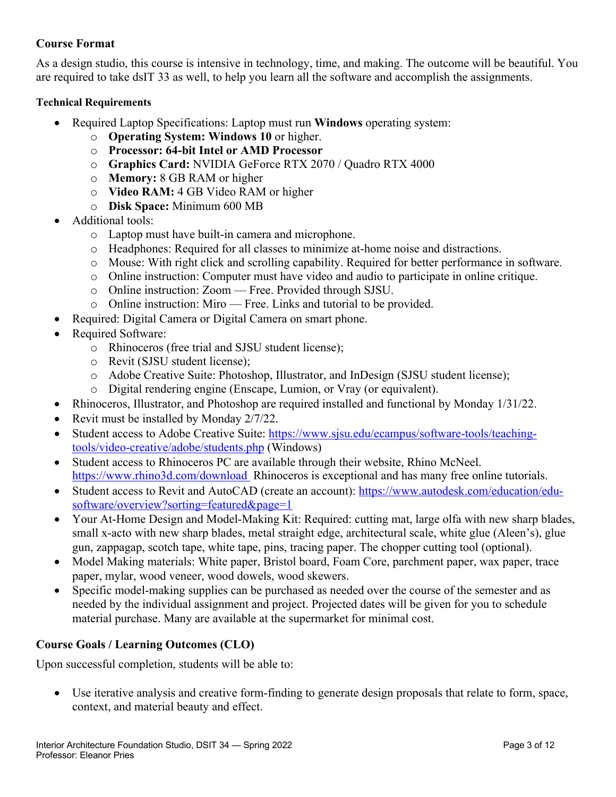# **Course Format**

As a design studio, this course is intensive in technology, time, and making. The outcome will be beautiful. You are required to take dsIT 33 as well, to help you learn all the software and accomplish the assignments.

## **Technical Requirements**

- Required Laptop Specifications: Laptop must run **Windows** operating system:
	- o **Operating System: Windows 10** or higher.
	- o **Processor: 64-bit Intel or AMD Processor**
	- o **Graphics Card:** NVIDIA GeForce RTX 2070 / Quadro RTX 4000
	- o **Memory:** 8 GB RAM or higher
	- o **Video RAM:** 4 GB Video RAM or higher
	- o **Disk Space:** Minimum 600 MB
- Additional tools:
	- o Laptop must have built-in camera and microphone.
	- o Headphones: Required for all classes to minimize at-home noise and distractions.
	- o Mouse: With right click and scrolling capability. Required for better performance in software.
	- o Online instruction: Computer must have video and audio to participate in online critique.
	- o Online instruction: Zoom Free. Provided through SJSU.
	- o Online instruction: Miro Free. Links and tutorial to be provided.
- Required: Digital Camera or Digital Camera on smart phone.
- Required Software:
	- o Rhinoceros (free trial and SJSU student license);
	- o Revit (SJSU student license);
	- o Adobe Creative Suite: Photoshop, Illustrator, and InDesign (SJSU student license);
	- o Digital rendering engine (Enscape, Lumion, or Vray (or equivalent).
- Rhinoceros, Illustrator, and Photoshop are required installed and functional by Monday 1/31/22.
- Revit must be installed by Monday 2/7/22.
- Student access to Adobe Creative Suite: https://www.sjsu.edu/ecampus/software-tools/teachingtools/video-creative/adobe/students.php (Windows)
- Student access to Rhinoceros PC are available through their website, Rhino McNeel. https://www.rhino3d.com/download Rhinoceros is exceptional and has many free online tutorials.
- Student access to Revit and AutoCAD (create an account): https://www.autodesk.com/education/edusoftware/overview?sorting=featured&page=1
- Your At-Home Design and Model-Making Kit: Required: cutting mat, large olfa with new sharp blades, small x-acto with new sharp blades, metal straight edge, architectural scale, white glue (Aleen's), glue gun, zappagap, scotch tape, white tape, pins, tracing paper. The chopper cutting tool (optional).
- Model Making materials: White paper, Bristol board, Foam Core, parchment paper, wax paper, trace paper, mylar, wood veneer, wood dowels, wood skewers.
- Specific model-making supplies can be purchased as needed over the course of the semester and as needed by the individual assignment and project. Projected dates will be given for you to schedule material purchase. Many are available at the supermarket for minimal cost.

# **Course Goals / Learning Outcomes (CLO)**

Upon successful completion, students will be able to:

• Use iterative analysis and creative form-finding to generate design proposals that relate to form, space, context, and material beauty and effect.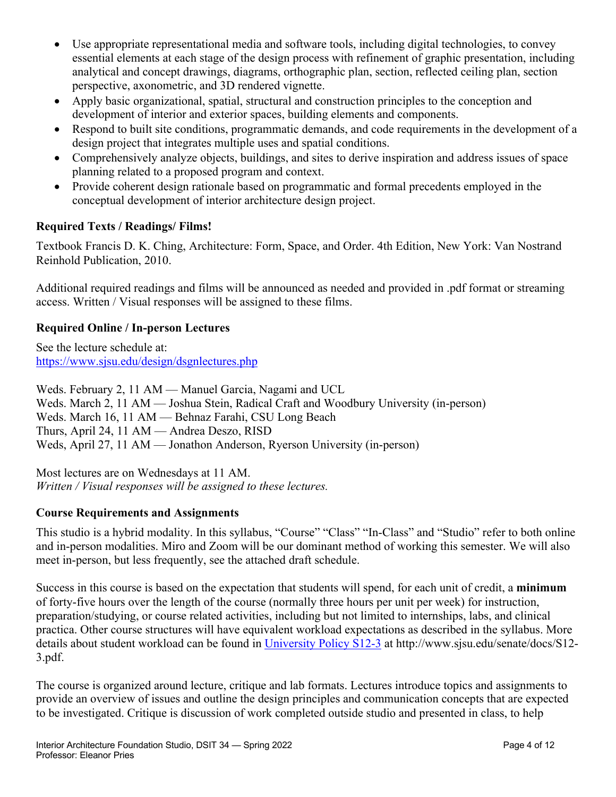- Use appropriate representational media and software tools, including digital technologies, to convey essential elements at each stage of the design process with refinement of graphic presentation, including analytical and concept drawings, diagrams, orthographic plan, section, reflected ceiling plan, section perspective, axonometric, and 3D rendered vignette.
- Apply basic organizational, spatial, structural and construction principles to the conception and development of interior and exterior spaces, building elements and components.
- Respond to built site conditions, programmatic demands, and code requirements in the development of a design project that integrates multiple uses and spatial conditions.
- Comprehensively analyze objects, buildings, and sites to derive inspiration and address issues of space planning related to a proposed program and context.
- Provide coherent design rationale based on programmatic and formal precedents employed in the conceptual development of interior architecture design project.

# **Required Texts / Readings/ Films!**

Textbook Francis D. K. Ching, Architecture: Form, Space, and Order. 4th Edition, New York: Van Nostrand Reinhold Publication, 2010.

Additional required readings and films will be announced as needed and provided in .pdf format or streaming access. Written / Visual responses will be assigned to these films.

# **Required Online / In-person Lectures**

See the lecture schedule at: https://www.sjsu.edu/design/dsgnlectures.php

Weds. February 2, 11 AM — Manuel Garcia, Nagami and UCL Weds. March 2, 11 AM — Joshua Stein, Radical Craft and Woodbury University (in-person) Weds. March 16, 11 AM — Behnaz Farahi, CSU Long Beach Thurs, April 24, 11 AM — Andrea Deszo, RISD Weds, April 27, 11 AM — Jonathon Anderson, Ryerson University (in-person)

Most lectures are on Wednesdays at 11 AM. *Written / Visual responses will be assigned to these lectures.* 

# **Course Requirements and Assignments**

This studio is a hybrid modality. In this syllabus, "Course" "Class" "In-Class" and "Studio" refer to both online and in-person modalities. Miro and Zoom will be our dominant method of working this semester. We will also meet in-person, but less frequently, see the attached draft schedule.

Success in this course is based on the expectation that students will spend, for each unit of credit, a **minimum** of forty-five hours over the length of the course (normally three hours per unit per week) for instruction, preparation/studying, or course related activities, including but not limited to internships, labs, and clinical practica. Other course structures will have equivalent workload expectations as described in the syllabus. More details about student workload can be found in University Policy S12-3 at http://www.sjsu.edu/senate/docs/S12-3.pdf.

The course is organized around lecture, critique and lab formats. Lectures introduce topics and assignments to provide an overview of issues and outline the design principles and communication concepts that are expected to be investigated. Critique is discussion of work completed outside studio and presented in class, to help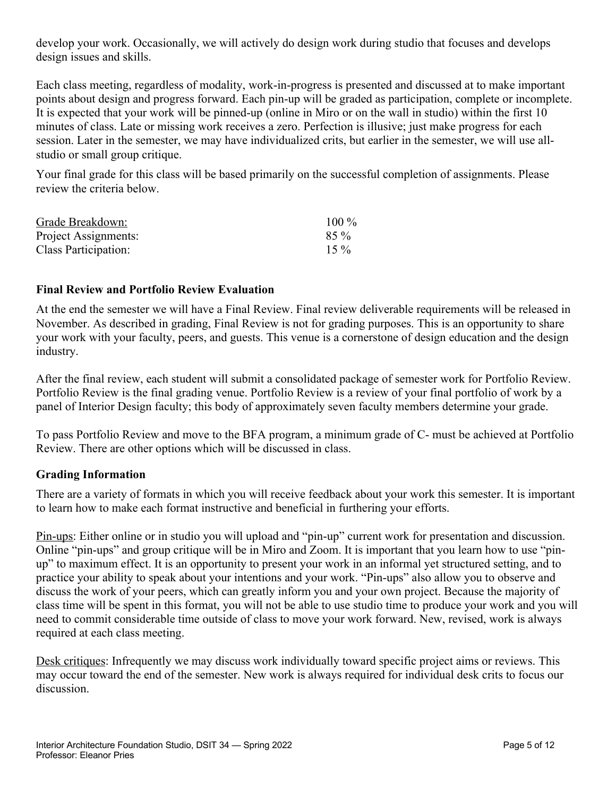develop your work. Occasionally, we will actively do design work during studio that focuses and develops design issues and skills.

Each class meeting, regardless of modality, work-in-progress is presented and discussed at to make important points about design and progress forward. Each pin-up will be graded as participation, complete or incomplete. It is expected that your work will be pinned-up (online in Miro or on the wall in studio) within the first 10 minutes of class. Late or missing work receives a zero. Perfection is illusive; just make progress for each session. Later in the semester, we may have individualized crits, but earlier in the semester, we will use allstudio or small group critique.

Your final grade for this class will be based primarily on the successful completion of assignments. Please review the criteria below.

| Grade Breakdown:     | $100\%$ |
|----------------------|---------|
| Project Assignments: | $85\%$  |
| Class Participation: | $15\%$  |

#### **Final Review and Portfolio Review Evaluation**

At the end the semester we will have a Final Review. Final review deliverable requirements will be released in November. As described in grading, Final Review is not for grading purposes. This is an opportunity to share your work with your faculty, peers, and guests. This venue is a cornerstone of design education and the design industry.

After the final review, each student will submit a consolidated package of semester work for Portfolio Review. Portfolio Review is the final grading venue. Portfolio Review is a review of your final portfolio of work by a panel of Interior Design faculty; this body of approximately seven faculty members determine your grade.

To pass Portfolio Review and move to the BFA program, a minimum grade of C- must be achieved at Portfolio Review. There are other options which will be discussed in class.

# **Grading Information**

There are a variety of formats in which you will receive feedback about your work this semester. It is important to learn how to make each format instructive and beneficial in furthering your efforts.

Pin-ups: Either online or in studio you will upload and "pin-up" current work for presentation and discussion. Online "pin-ups" and group critique will be in Miro and Zoom. It is important that you learn how to use "pinup" to maximum effect. It is an opportunity to present your work in an informal yet structured setting, and to practice your ability to speak about your intentions and your work. "Pin-ups" also allow you to observe and discuss the work of your peers, which can greatly inform you and your own project. Because the majority of class time will be spent in this format, you will not be able to use studio time to produce your work and you will need to commit considerable time outside of class to move your work forward. New, revised, work is always required at each class meeting.

Desk critiques: Infrequently we may discuss work individually toward specific project aims or reviews. This may occur toward the end of the semester. New work is always required for individual desk crits to focus our discussion.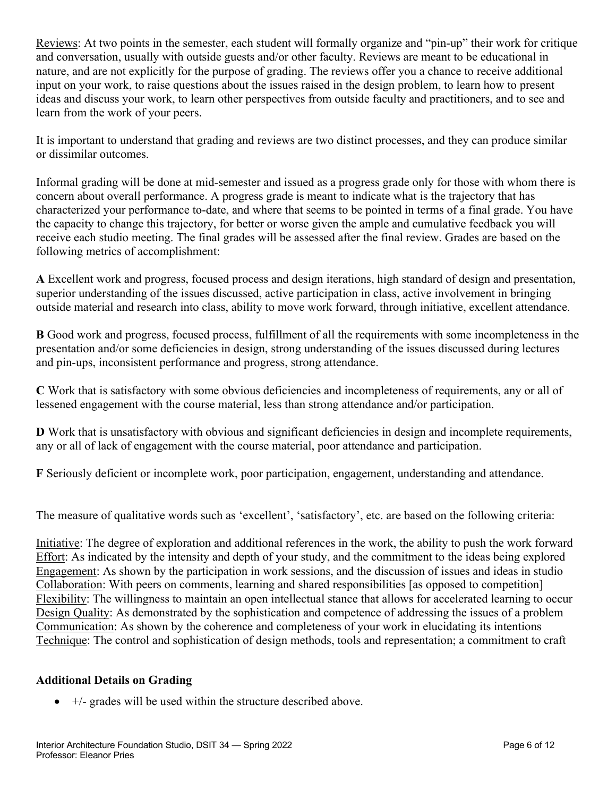Reviews: At two points in the semester, each student will formally organize and "pin-up" their work for critique and conversation, usually with outside guests and/or other faculty. Reviews are meant to be educational in nature, and are not explicitly for the purpose of grading. The reviews offer you a chance to receive additional input on your work, to raise questions about the issues raised in the design problem, to learn how to present ideas and discuss your work, to learn other perspectives from outside faculty and practitioners, and to see and learn from the work of your peers.

It is important to understand that grading and reviews are two distinct processes, and they can produce similar or dissimilar outcomes.

Informal grading will be done at mid-semester and issued as a progress grade only for those with whom there is concern about overall performance. A progress grade is meant to indicate what is the trajectory that has characterized your performance to-date, and where that seems to be pointed in terms of a final grade. You have the capacity to change this trajectory, for better or worse given the ample and cumulative feedback you will receive each studio meeting. The final grades will be assessed after the final review. Grades are based on the following metrics of accomplishment:

**A** Excellent work and progress, focused process and design iterations, high standard of design and presentation, superior understanding of the issues discussed, active participation in class, active involvement in bringing outside material and research into class, ability to move work forward, through initiative, excellent attendance.

**B** Good work and progress, focused process, fulfillment of all the requirements with some incompleteness in the presentation and/or some deficiencies in design, strong understanding of the issues discussed during lectures and pin-ups, inconsistent performance and progress, strong attendance.

**C** Work that is satisfactory with some obvious deficiencies and incompleteness of requirements, any or all of lessened engagement with the course material, less than strong attendance and/or participation.

**D** Work that is unsatisfactory with obvious and significant deficiencies in design and incomplete requirements, any or all of lack of engagement with the course material, poor attendance and participation.

**F** Seriously deficient or incomplete work, poor participation, engagement, understanding and attendance.

The measure of qualitative words such as 'excellent', 'satisfactory', etc. are based on the following criteria:

Initiative: The degree of exploration and additional references in the work, the ability to push the work forward Effort: As indicated by the intensity and depth of your study, and the commitment to the ideas being explored Engagement: As shown by the participation in work sessions, and the discussion of issues and ideas in studio Collaboration: With peers on comments, learning and shared responsibilities [as opposed to competition] Flexibility: The willingness to maintain an open intellectual stance that allows for accelerated learning to occur Design Quality: As demonstrated by the sophistication and competence of addressing the issues of a problem Communication: As shown by the coherence and completeness of your work in elucidating its intentions Technique: The control and sophistication of design methods, tools and representation; a commitment to craft

# **Additional Details on Grading**

 $\bullet$  +/- grades will be used within the structure described above.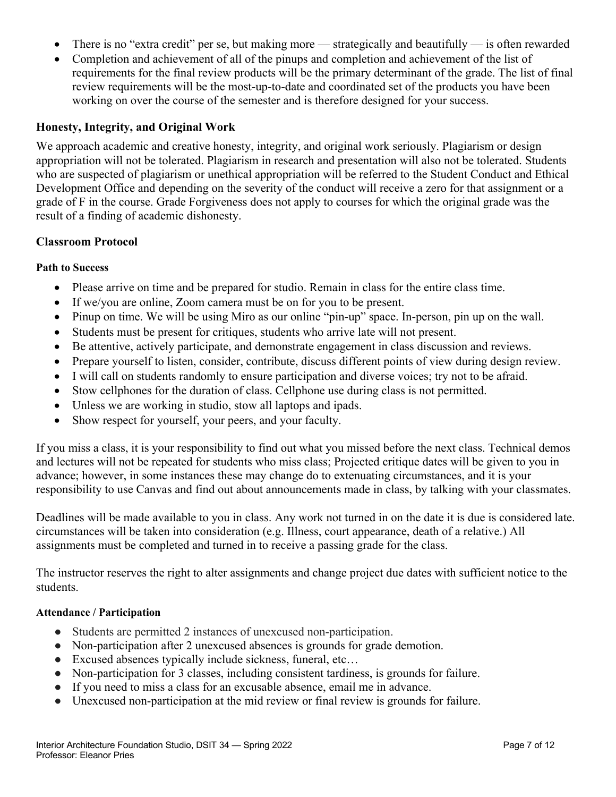- There is no "extra credit" per se, but making more strategically and beautifully is often rewarded
- Completion and achievement of all of the pinups and completion and achievement of the list of requirements for the final review products will be the primary determinant of the grade. The list of final review requirements will be the most-up-to-date and coordinated set of the products you have been working on over the course of the semester and is therefore designed for your success.

#### **Honesty, Integrity, and Original Work**

We approach academic and creative honesty, integrity, and original work seriously. Plagiarism or design appropriation will not be tolerated. Plagiarism in research and presentation will also not be tolerated. Students who are suspected of plagiarism or unethical appropriation will be referred to the Student Conduct and Ethical Development Office and depending on the severity of the conduct will receive a zero for that assignment or a grade of F in the course. Grade Forgiveness does not apply to courses for which the original grade was the result of a finding of academic dishonesty.

#### **Classroom Protocol**

#### **Path to Success**

- Please arrive on time and be prepared for studio. Remain in class for the entire class time.
- If we/you are online, Zoom camera must be on for you to be present.
- Pinup on time. We will be using Miro as our online "pin-up" space. In-person, pin up on the wall.
- Students must be present for critiques, students who arrive late will not present.
- Be attentive, actively participate, and demonstrate engagement in class discussion and reviews.
- Prepare yourself to listen, consider, contribute, discuss different points of view during design review.
- I will call on students randomly to ensure participation and diverse voices; try not to be afraid.
- Stow cellphones for the duration of class. Cellphone use during class is not permitted.
- Unless we are working in studio, stow all laptops and ipads.
- Show respect for yourself, your peers, and your faculty.

If you miss a class, it is your responsibility to find out what you missed before the next class. Technical demos and lectures will not be repeated for students who miss class; Projected critique dates will be given to you in advance; however, in some instances these may change do to extenuating circumstances, and it is your responsibility to use Canvas and find out about announcements made in class, by talking with your classmates.

Deadlines will be made available to you in class. Any work not turned in on the date it is due is considered late. circumstances will be taken into consideration (e.g. Illness, court appearance, death of a relative.) All assignments must be completed and turned in to receive a passing grade for the class.

The instructor reserves the right to alter assignments and change project due dates with sufficient notice to the students.

#### **Attendance / Participation**

- Students are permitted 2 instances of unexcused non-participation.
- Non-participation after 2 unexcused absences is grounds for grade demotion.
- Excused absences typically include sickness, funeral, etc...
- Non-participation for 3 classes, including consistent tardiness, is grounds for failure.
- If you need to miss a class for an excusable absence, email me in advance.
- Unexcused non-participation at the mid review or final review is grounds for failure.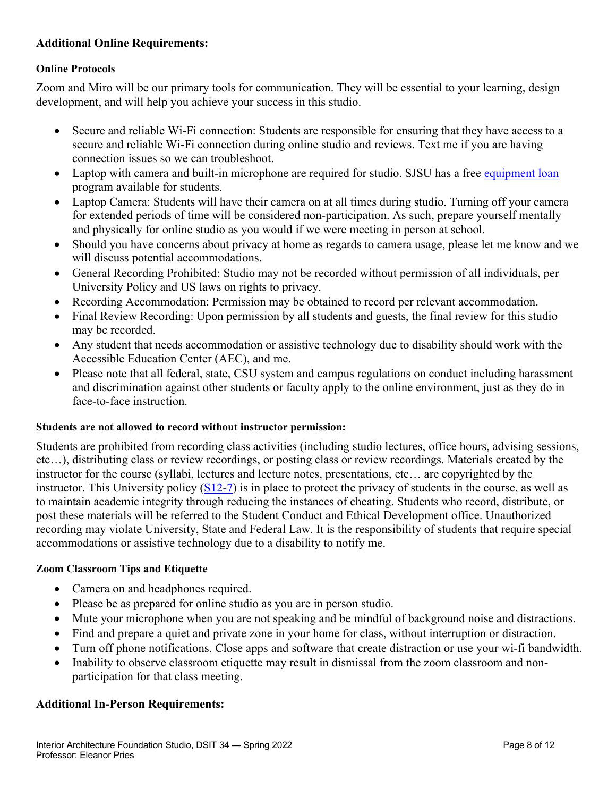# **Additional Online Requirements:**

#### **Online Protocols**

Zoom and Miro will be our primary tools for communication. They will be essential to your learning, design development, and will help you achieve your success in this studio.

- Secure and reliable Wi-Fi connection: Students are responsible for ensuring that they have access to a secure and reliable Wi-Fi connection during online studio and reviews. Text me if you are having connection issues so we can troubleshoot.
- Laptop with camera and built-in microphone are required for studio. SJSU has a free equipment loan program available for students.
- Laptop Camera: Students will have their camera on at all times during studio. Turning off your camera for extended periods of time will be considered non-participation. As such, prepare yourself mentally and physically for online studio as you would if we were meeting in person at school.
- Should you have concerns about privacy at home as regards to camera usage, please let me know and we will discuss potential accommodations.
- General Recording Prohibited: Studio may not be recorded without permission of all individuals, per University Policy and US laws on rights to privacy.
- Recording Accommodation: Permission may be obtained to record per relevant accommodation.
- Final Review Recording: Upon permission by all students and guests, the final review for this studio may be recorded.
- Any student that needs accommodation or assistive technology due to disability should work with the Accessible Education Center (AEC), and me.
- Please note that all federal, state, CSU system and campus regulations on conduct including harassment and discrimination against other students or faculty apply to the online environment, just as they do in face-to-face instruction.

#### **Students are not allowed to record without instructor permission:**

Students are prohibited from recording class activities (including studio lectures, office hours, advising sessions, etc…), distributing class or review recordings, or posting class or review recordings. Materials created by the instructor for the course (syllabi, lectures and lecture notes, presentations, etc… are copyrighted by the instructor. This University policy (S12-7) is in place to protect the privacy of students in the course, as well as to maintain academic integrity through reducing the instances of cheating. Students who record, distribute, or post these materials will be referred to the Student Conduct and Ethical Development office. Unauthorized recording may violate University, State and Federal Law. It is the responsibility of students that require special accommodations or assistive technology due to a disability to notify me.

#### **Zoom Classroom Tips and Etiquette**

- Camera on and headphones required.
- Please be as prepared for online studio as you are in person studio.
- Mute your microphone when you are not speaking and be mindful of background noise and distractions.
- Find and prepare a quiet and private zone in your home for class, without interruption or distraction.
- Turn off phone notifications. Close apps and software that create distraction or use your wi-fi bandwidth.
- Inability to observe classroom etiquette may result in dismissal from the zoom classroom and nonparticipation for that class meeting.

#### **Additional In-Person Requirements:**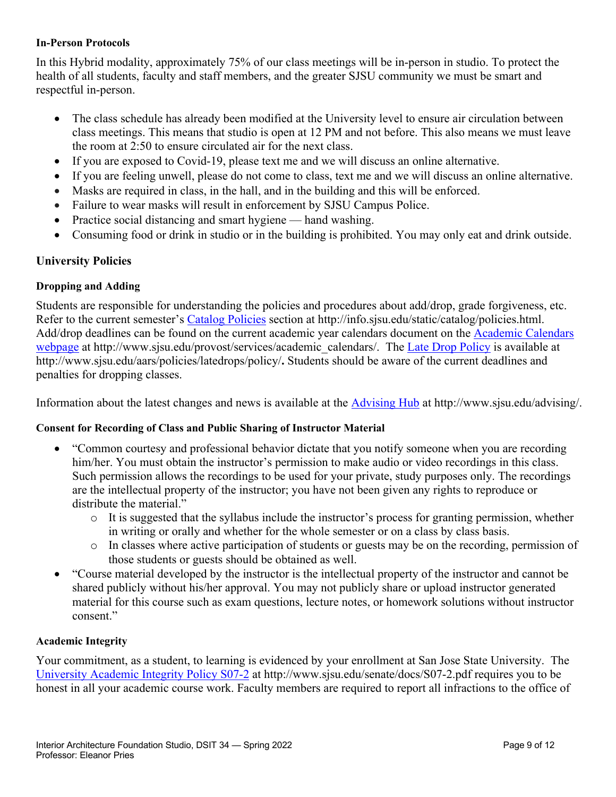#### **In-Person Protocols**

In this Hybrid modality, approximately 75% of our class meetings will be in-person in studio. To protect the health of all students, faculty and staff members, and the greater SJSU community we must be smart and respectful in-person.

- The class schedule has already been modified at the University level to ensure air circulation between class meetings. This means that studio is open at 12 PM and not before. This also means we must leave the room at 2:50 to ensure circulated air for the next class.
- If you are exposed to Covid-19, please text me and we will discuss an online alternative.
- If you are feeling unwell, please do not come to class, text me and we will discuss an online alternative.
- Masks are required in class, in the hall, and in the building and this will be enforced.
- Failure to wear masks will result in enforcement by SJSU Campus Police.
- Practice social distancing and smart hygiene hand washing.
- Consuming food or drink in studio or in the building is prohibited. You may only eat and drink outside.

## **University Policies**

#### **Dropping and Adding**

Students are responsible for understanding the policies and procedures about add/drop, grade forgiveness, etc. Refer to the current semester's Catalog Policies section at http://info.sjsu.edu/static/catalog/policies.html. Add/drop deadlines can be found on the current academic year calendars document on the Academic Calendars webpage at http://www.sjsu.edu/provost/services/academic\_calendars/. The Late Drop Policy is available at http://www.sjsu.edu/aars/policies/latedrops/policy/**.** Students should be aware of the current deadlines and penalties for dropping classes.

Information about the latest changes and news is available at the Advising Hub at http://www.sjsu.edu/advising/.

#### **Consent for Recording of Class and Public Sharing of Instructor Material**

- "Common courtesy and professional behavior dictate that you notify someone when you are recording him/her. You must obtain the instructor's permission to make audio or video recordings in this class. Such permission allows the recordings to be used for your private, study purposes only. The recordings are the intellectual property of the instructor; you have not been given any rights to reproduce or distribute the material."
	- $\circ$  It is suggested that the syllabus include the instructor's process for granting permission, whether in writing or orally and whether for the whole semester or on a class by class basis.
	- o In classes where active participation of students or guests may be on the recording, permission of those students or guests should be obtained as well.
- "Course material developed by the instructor is the intellectual property of the instructor and cannot be shared publicly without his/her approval. You may not publicly share or upload instructor generated material for this course such as exam questions, lecture notes, or homework solutions without instructor consent."

#### **Academic Integrity**

Your commitment, as a student, to learning is evidenced by your enrollment at San Jose State University. The University Academic Integrity Policy S07-2 at http://www.sjsu.edu/senate/docs/S07-2.pdf requires you to be honest in all your academic course work. Faculty members are required to report all infractions to the office of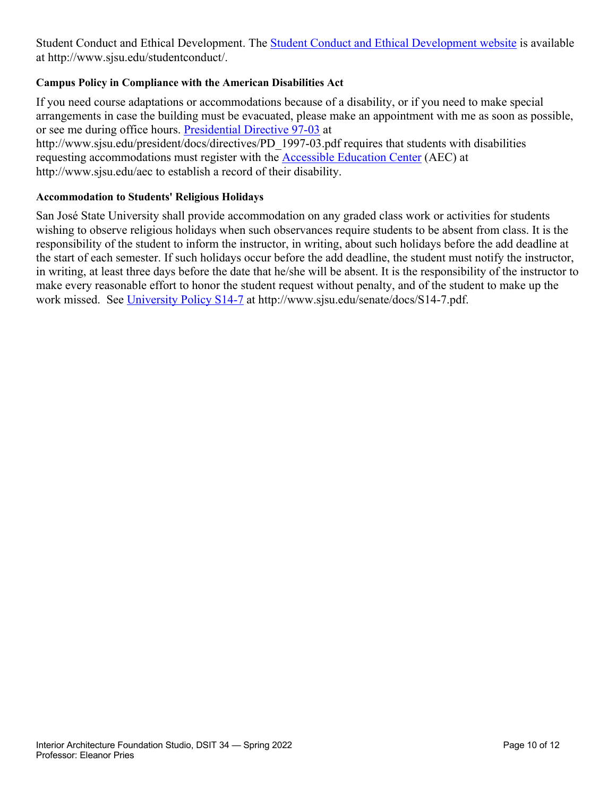Student Conduct and Ethical Development. The **Student Conduct and Ethical Development website** is available at http://www.sjsu.edu/studentconduct/.

### **Campus Policy in Compliance with the American Disabilities Act**

If you need course adaptations or accommodations because of a disability, or if you need to make special arrangements in case the building must be evacuated, please make an appointment with me as soon as possible, or see me during office hours. Presidential Directive 97-03 at http://www.sjsu.edu/president/docs/directives/PD\_1997-03.pdf requires that students with disabilities requesting accommodations must register with the Accessible Education Center (AEC) at http://www.sjsu.edu/aec to establish a record of their disability.

### **Accommodation to Students' Religious Holidays**

San José State University shall provide accommodation on any graded class work or activities for students wishing to observe religious holidays when such observances require students to be absent from class. It is the responsibility of the student to inform the instructor, in writing, about such holidays before the add deadline at the start of each semester. If such holidays occur before the add deadline, the student must notify the instructor, in writing, at least three days before the date that he/she will be absent. It is the responsibility of the instructor to make every reasonable effort to honor the student request without penalty, and of the student to make up the work missed. See University Policy S14-7 at http://www.sjsu.edu/senate/docs/S14-7.pdf.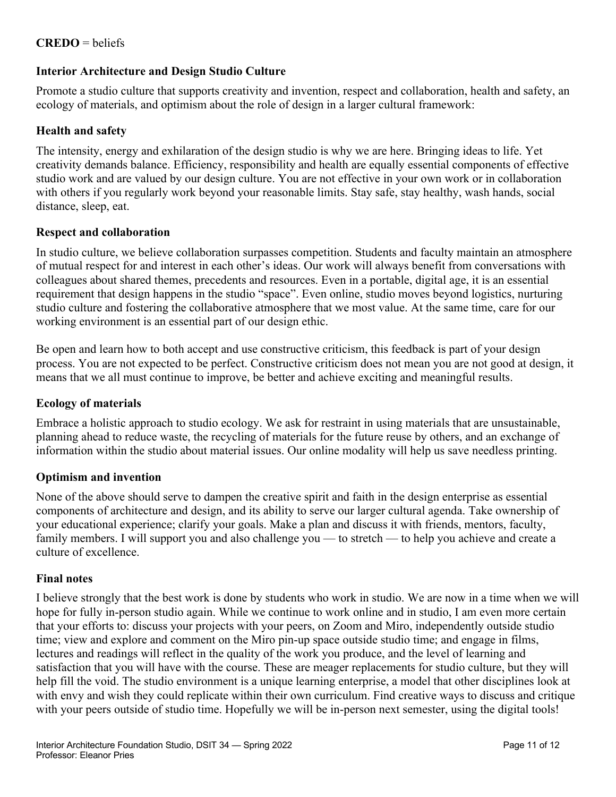# **CREDO** = beliefs

## **Interior Architecture and Design Studio Culture**

Promote a studio culture that supports creativity and invention, respect and collaboration, health and safety, an ecology of materials, and optimism about the role of design in a larger cultural framework:

## **Health and safety**

The intensity, energy and exhilaration of the design studio is why we are here. Bringing ideas to life. Yet creativity demands balance. Efficiency, responsibility and health are equally essential components of effective studio work and are valued by our design culture. You are not effective in your own work or in collaboration with others if you regularly work beyond your reasonable limits. Stay safe, stay healthy, wash hands, social distance, sleep, eat.

## **Respect and collaboration**

In studio culture, we believe collaboration surpasses competition. Students and faculty maintain an atmosphere of mutual respect for and interest in each other's ideas. Our work will always benefit from conversations with colleagues about shared themes, precedents and resources. Even in a portable, digital age, it is an essential requirement that design happens in the studio "space". Even online, studio moves beyond logistics, nurturing studio culture and fostering the collaborative atmosphere that we most value. At the same time, care for our working environment is an essential part of our design ethic.

Be open and learn how to both accept and use constructive criticism, this feedback is part of your design process. You are not expected to be perfect. Constructive criticism does not mean you are not good at design, it means that we all must continue to improve, be better and achieve exciting and meaningful results.

## **Ecology of materials**

Embrace a holistic approach to studio ecology. We ask for restraint in using materials that are unsustainable, planning ahead to reduce waste, the recycling of materials for the future reuse by others, and an exchange of information within the studio about material issues. Our online modality will help us save needless printing.

#### **Optimism and invention**

None of the above should serve to dampen the creative spirit and faith in the design enterprise as essential components of architecture and design, and its ability to serve our larger cultural agenda. Take ownership of your educational experience; clarify your goals. Make a plan and discuss it with friends, mentors, faculty, family members. I will support you and also challenge you — to stretch — to help you achieve and create a culture of excellence.

#### **Final notes**

I believe strongly that the best work is done by students who work in studio. We are now in a time when we will hope for fully in-person studio again. While we continue to work online and in studio, I am even more certain that your efforts to: discuss your projects with your peers, on Zoom and Miro, independently outside studio time; view and explore and comment on the Miro pin-up space outside studio time; and engage in films, lectures and readings will reflect in the quality of the work you produce, and the level of learning and satisfaction that you will have with the course. These are meager replacements for studio culture, but they will help fill the void. The studio environment is a unique learning enterprise, a model that other disciplines look at with envy and wish they could replicate within their own curriculum. Find creative ways to discuss and critique with your peers outside of studio time. Hopefully we will be in-person next semester, using the digital tools!